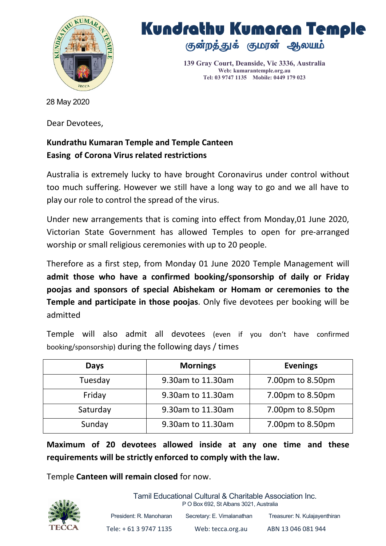

## Kundrathu Kumaran Temple குன்றத்துக் குமரன் ஆலயம்

**139 Gray Court, Deanside, Vic 3336, Australia Web: kumarantemple.org.au Tel: 03 9747 1135 Mobile: 0449 179 023**

28 May 2020

Dear Devotees,

## **Kundrathu Kumaran Temple and Temple Canteen Easing of Corona Virus related restrictions**

Australia is extremely lucky to have brought Coronavirus under control without too much suffering. However we still have a long way to go and we all have to play our role to control the spread of the virus.

Under new arrangements that is coming into effect from Monday,01 June 2020, Victorian State Government has allowed Temples to open for pre-arranged worship or small religious ceremonies with up to 20 people.

Therefore as a first step, from Monday 01 June 2020 Temple Management will **admit those who have a confirmed booking/sponsorship of daily or Friday poojas and sponsors of special Abishekam or Homam or ceremonies to the Temple and participate in those poojas**. Only five devotees per booking will be admitted

Temple will also admit all devotees (even if you don't have confirmed booking/sponsorship) during the following days / times

| <b>Days</b> | <b>Mornings</b>   | <b>Evenings</b>  |
|-------------|-------------------|------------------|
| Tuesday     | 9.30am to 11.30am | 7.00pm to 8.50pm |
| Friday      | 9.30am to 11.30am | 7.00pm to 8.50pm |
| Saturday    | 9.30am to 11.30am | 7.00pm to 8.50pm |
| Sunday      | 9.30am to 11.30am | 7.00pm to 8.50pm |

**Maximum of 20 devotees allowed inside at any one time and these requirements will be strictly enforced to comply with the law.**

Temple **Canteen will remain closed** for now.



Tamil Educational Cultural & Charitable Association Inc.